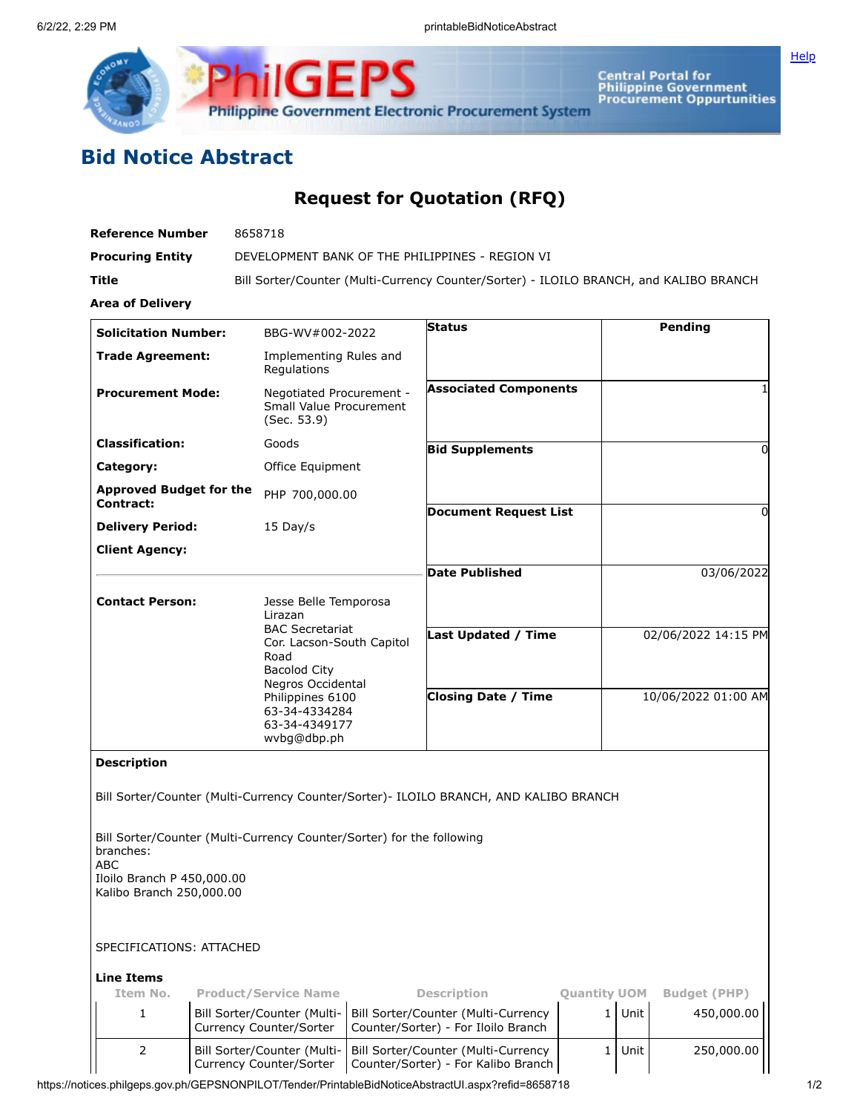

## **Bid Notice Abstract**

## **Request for Quotation (RFQ)**

| <b>Reference Number</b>                                                                                                 |  | 8658718                                                                                                                                                                                                          |  |                                                                                       |                     |                     |                     |
|-------------------------------------------------------------------------------------------------------------------------|--|------------------------------------------------------------------------------------------------------------------------------------------------------------------------------------------------------------------|--|---------------------------------------------------------------------------------------|---------------------|---------------------|---------------------|
| <b>Procuring Entity</b>                                                                                                 |  |                                                                                                                                                                                                                  |  | DEVELOPMENT BANK OF THE PHILIPPINES - REGION VI                                       |                     |                     |                     |
| Title                                                                                                                   |  | Bill Sorter/Counter (Multi-Currency Counter/Sorter) - ILOILO BRANCH, and KALIBO BRANCH                                                                                                                           |  |                                                                                       |                     |                     |                     |
| <b>Area of Delivery</b>                                                                                                 |  |                                                                                                                                                                                                                  |  |                                                                                       |                     |                     |                     |
| <b>Solicitation Number:</b>                                                                                             |  | BBG-WV#002-2022                                                                                                                                                                                                  |  | <b>Status</b>                                                                         |                     |                     | Pending             |
| <b>Trade Agreement:</b>                                                                                                 |  | Implementing Rules and<br>Regulations                                                                                                                                                                            |  |                                                                                       |                     |                     |                     |
| <b>Procurement Mode:</b>                                                                                                |  | Negotiated Procurement -<br><b>Small Value Procurement</b><br>(Sec. 53.9)                                                                                                                                        |  | <b>Associated Components</b>                                                          |                     |                     |                     |
| <b>Classification:</b>                                                                                                  |  | Goods                                                                                                                                                                                                            |  | <b>Bid Supplements</b>                                                                |                     |                     | 0                   |
| Category:                                                                                                               |  | Office Equipment                                                                                                                                                                                                 |  |                                                                                       |                     |                     |                     |
| <b>Approved Budget for the</b><br>Contract:                                                                             |  | PHP 700,000.00                                                                                                                                                                                                   |  |                                                                                       |                     |                     |                     |
| <b>Delivery Period:</b>                                                                                                 |  | 15 Day/s                                                                                                                                                                                                         |  | <b>Document Request List</b>                                                          |                     |                     | 0                   |
| <b>Client Agency:</b>                                                                                                   |  |                                                                                                                                                                                                                  |  |                                                                                       |                     |                     |                     |
|                                                                                                                         |  |                                                                                                                                                                                                                  |  | <b>Date Published</b>                                                                 |                     |                     | 03/06/2022          |
| <b>Contact Person:</b>                                                                                                  |  | Jesse Belle Temporosa<br>Lirazan<br><b>BAC Secretariat</b><br>Cor. Lacson-South Capitol<br>Road<br><b>Bacolod City</b><br>Negros Occidental<br>Philippines 6100<br>63-34-4334284<br>63-34-4349177<br>wvbq@dbp.ph |  |                                                                                       |                     |                     |                     |
|                                                                                                                         |  |                                                                                                                                                                                                                  |  | <b>Last Updated / Time</b>                                                            |                     |                     | 02/06/2022 14:15 PM |
|                                                                                                                         |  |                                                                                                                                                                                                                  |  | <b>Closing Date / Time</b>                                                            |                     | 10/06/2022 01:00 AM |                     |
| <b>Description</b>                                                                                                      |  |                                                                                                                                                                                                                  |  |                                                                                       |                     |                     |                     |
|                                                                                                                         |  |                                                                                                                                                                                                                  |  | Bill Sorter/Counter (Multi-Currency Counter/Sorter)- ILOILO BRANCH, AND KALIBO BRANCH |                     |                     |                     |
| Bill Sorter/Counter (Multi-Currency Counter/Sorter) for the following<br>branches:<br>ABC<br>Iloilo Branch P 450,000.00 |  |                                                                                                                                                                                                                  |  |                                                                                       |                     |                     |                     |
| Kalibo Branch 250,000.00                                                                                                |  |                                                                                                                                                                                                                  |  |                                                                                       |                     |                     |                     |
| SPECIFICATIONS: ATTACHED                                                                                                |  |                                                                                                                                                                                                                  |  |                                                                                       |                     |                     |                     |
| <b>Line Items</b>                                                                                                       |  |                                                                                                                                                                                                                  |  |                                                                                       |                     |                     |                     |
| Item No.                                                                                                                |  | <b>Product/Service Name</b>                                                                                                                                                                                      |  | <b>Description</b>                                                                    | <b>Quantity UOM</b> |                     | <b>Budget (PHP)</b> |
| 1                                                                                                                       |  | Bill Sorter/Counter (Multi-<br>Currency Counter/Sorter                                                                                                                                                           |  | Bill Sorter/Counter (Multi-Currency<br>Counter/Sorter) - For Iloilo Branch            | $\mathbf{1}$        | Unit                | 450,000.00          |
| 2                                                                                                                       |  | Bill Sorter/Counter (Multi-<br>Currency Counter/Sorter                                                                                                                                                           |  | Bill Sorter/Counter (Multi-Currency<br>Counter/Sorter) - For Kalibo Branch            | 1                   | Unit                | 250,000.00          |

https://notices.philgeps.gov.ph/GEPSNONPILOT/Tender/PrintableBidNoticeAbstractUI.aspx?refid=8658718 1/2